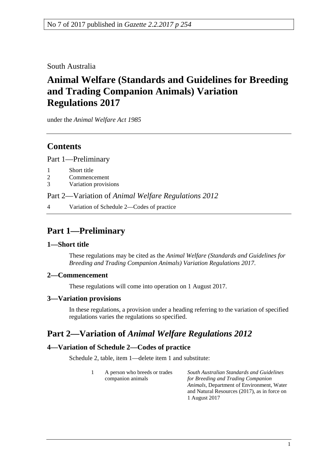South Australia

# **Animal Welfare (Standards and Guidelines for Breeding and Trading Companion Animals) Variation Regulations 2017**

under the *Animal Welfare Act 1985*

### **Contents**

Part [1—Preliminary](#page-0-0)

- 1 [Short title](#page-0-1)
- 2 [Commencement](#page-0-2)
- 3 [Variation provisions](#page-0-3)

Part 2—Variation of *[Animal Welfare Regulations](#page-0-4) 2012*

4 [Variation of Schedule 2—Codes of practice](#page-0-5)

## <span id="page-0-0"></span>**Part 1—Preliminary**

#### <span id="page-0-1"></span>**1—Short title**

These regulations may be cited as the *Animal Welfare (Standards and Guidelines for Breeding and Trading Companion Animals) Variation Regulations 2017*.

#### <span id="page-0-2"></span>**2—Commencement**

These regulations will come into operation on 1 August 2017.

#### <span id="page-0-3"></span>**3—Variation provisions**

In these regulations, a provision under a heading referring to the variation of specified regulations varies the regulations so specified.

## <span id="page-0-4"></span>**Part 2—Variation of** *Animal Welfare Regulations 2012*

#### <span id="page-0-5"></span>**4—Variation of Schedule 2—Codes of practice**

Schedule 2, table, item 1—delete item 1 and substitute:

1 A person who breeds or trades companion animals *South Australian Standards and Guidelines for Breeding and Trading Companion* 

*Animals*, Department of Environment, Water and Natural Resources (2017), as in force on 1 August 2017